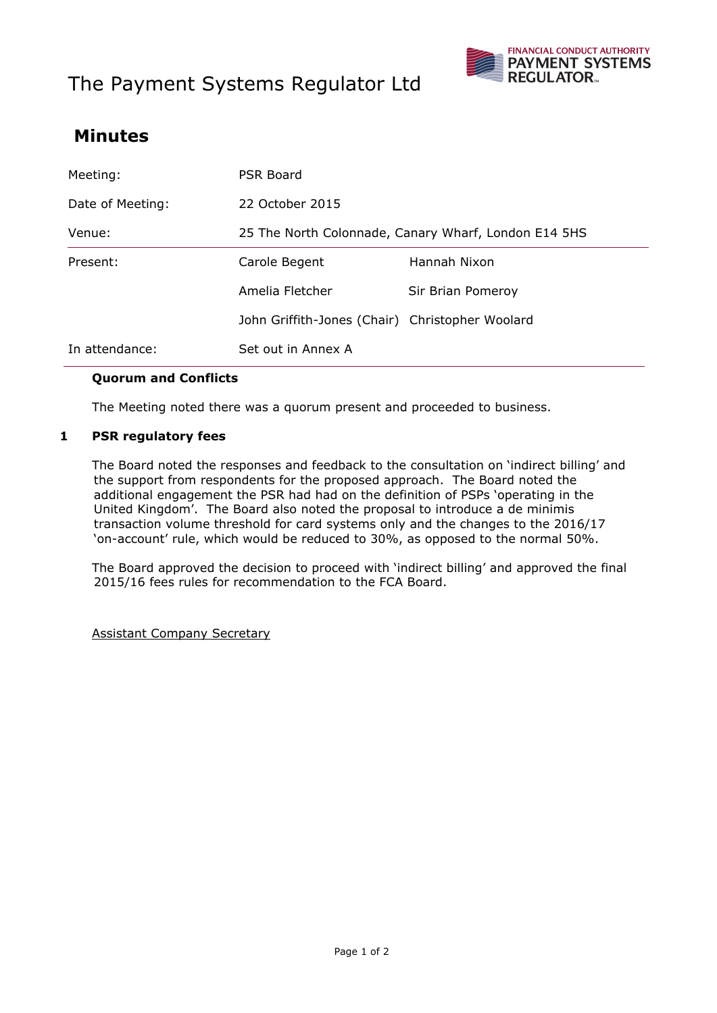# The Payment Systems Regulator Ltd



## **Minutes**

| Meeting:         | <b>PSR Board</b>                                     |                   |
|------------------|------------------------------------------------------|-------------------|
| Date of Meeting: | 22 October 2015                                      |                   |
| Venue:           | 25 The North Colonnade, Canary Wharf, London E14 5HS |                   |
| Present:         | Carole Begent                                        | Hannah Nixon      |
|                  | Amelia Fletcher                                      | Sir Brian Pomeroy |
|                  | John Griffith-Jones (Chair) Christopher Woolard      |                   |
| In attendance:   | Set out in Annex A                                   |                   |

#### **Quorum and Conflicts**

The Meeting noted there was a quorum present and proceeded to business.

#### **1 PSR regulatory fees**

The Board noted the responses and feedback to the consultation on 'indirect billing' and the support from respondents for the proposed approach. The Board noted the additional engagement the PSR had had on the definition of PSPs 'operating in the United Kingdom'. The Board also noted the proposal to introduce a de minimis transaction volume threshold for card systems only and the changes to the 2016/17 'on-account' rule, which would be reduced to 30%, as opposed to the normal 50%.

The Board approved the decision to proceed with 'indirect billing' and approved the final 2015/16 fees rules for recommendation to the FCA Board.

Assistant Company Secretary